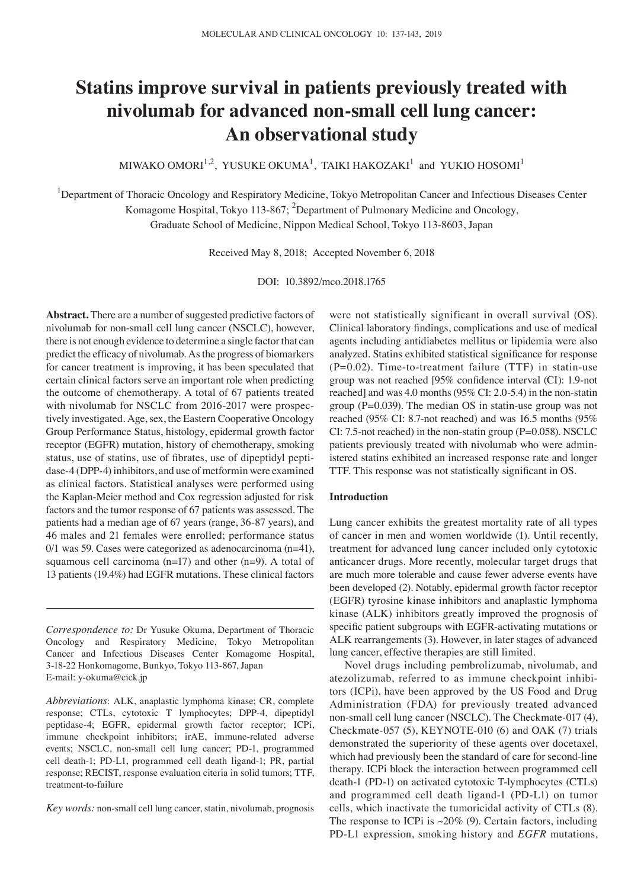# **Statins improve survival in patients previously treated with nivolumab for advanced non‑small cell lung cancer: An observational study**

MIWAKO OMORI $^{1,2}$ , YUSUKE OKUMA $^{1}$ , TAIKI HAKOZAKI $^{1}$  and YUKIO HOSOMI $^{1}$ 

<sup>1</sup>Department of Thoracic Oncology and Respiratory Medicine, Tokyo Metropolitan Cancer and Infectious Diseases Center Komagome Hospital, Tokyo 113-867;  $^2$ Department of Pulmonary Medicine and Oncology, Graduate School of Medicine, Nippon Medical School, Tokyo 113‑8603, Japan

Received May 8, 2018; Accepted November 6, 2018

DOI: 10.3892/mco.2018.1765

**Abstract.** There are a number of suggested predictive factors of nivolumab for non-small cell lung cancer (NSCLC), however, there is not enough evidence to determine a single factor that can predict the efficacy of nivolumab. As the progress of biomarkers for cancer treatment is improving, it has been speculated that certain clinical factors serve an important role when predicting the outcome of chemotherapy. A total of 67 patients treated with nivolumab for NSCLC from 2016-2017 were prospectively investigated. Age, sex, the Eastern Cooperative Oncology Group Performance Status, histology, epidermal growth factor receptor (EGFR) mutation, history of chemotherapy, smoking status, use of statins, use of fibrates, use of dipeptidyl peptidase-4 (DPP-4) inhibitors, and use of metformin were examined as clinical factors. Statistical analyses were performed using the Kaplan‑Meier method and Cox regression adjusted for risk factors and the tumor response of 67 patients was assessed. The patients had a median age of 67 years (range, 36‑87 years), and 46 males and 21 females were enrolled; performance status  $0/1$  was 59. Cases were categorized as adenocarcinoma (n=41), squamous cell carcinoma (n=17) and other (n=9). A total of 13 patients (19.4%) had EGFR mutations. These clinical factors

*Correspondence to:* Dr Yusuke Okuma, Department of Thoracic Oncology and Respiratory Medicine, Tokyo Metropolitan Cancer and Infectious Diseases Center Komagome Hospital, 3‑18‑22 Honkomagome, Bunkyo, Tokyo 113‑867, Japan E‑mail: y‑okuma@cick.jp

*Abbreviations*: ALK, anaplastic lymphoma kinase; CR, complete response; CTLs, cytotoxic T lymphocytes; DPP‑4, dipeptidyl peptidase-4; EGFR, epidermal growth factor receptor; ICPi, immune checkpoint inhibitors; irAE, immune-related adverse events; NSCLC, non-small cell lung cancer; PD-1, programmed cell death‑1; PD‑L1, programmed cell death ligand‑1; PR, partial response; RECIST, response evaluation citeria in solid tumors; TTF, treatment-to-failure

*Key words:* non-small cell lung cancer, statin, nivolumab, prognosis

were not statistically significant in overall survival (OS). Clinical laboratory findings, complications and use of medical agents including antidiabetes mellitus or lipidemia were also analyzed. Statins exhibited statistical significance for response  $(P=0.02)$ . Time-to-treatment failure (TTF) in statin-use group was not reached [95% confidence interval (CI): 1.9‑not reached] and was 4.0 months (95% CI: 2.0-5.4) in the non-statin group ( $P=0.039$ ). The median OS in statin-use group was not reached (95% CI: 8.7‑not reached) and was 16.5 months (95% CI: 7.5‑not reached) in the non‑statin group (P=0.058). NSCLC patients previously treated with nivolumab who were administered statins exhibited an increased response rate and longer TTF. This response was not statistically significant in OS.

## **Introduction**

Lung cancer exhibits the greatest mortality rate of all types of cancer in men and women worldwide (1). Until recently, treatment for advanced lung cancer included only cytotoxic anticancer drugs. More recently, molecular target drugs that are much more tolerable and cause fewer adverse events have been developed (2). Notably, epidermal growth factor receptor (EGFR) tyrosine kinase inhibitors and anaplastic lymphoma kinase (ALK) inhibitors greatly improved the prognosis of specific patient subgroups with EGFR-activating mutations or ALK rearrangements (3). However, in later stages of advanced lung cancer, effective therapies are still limited.

Novel drugs including pembrolizumab, nivolumab, and atezolizumab, referred to as immune checkpoint inhibitors (ICPi), have been approved by the US Food and Drug Administration (FDA) for previously treated advanced non-small cell lung cancer (NSCLC). The Checkmate-017 (4), Checkmate‑057 (5), KEYNOTE‑010 (6) and OAK (7) trials demonstrated the superiority of these agents over docetaxel, which had previously been the standard of care for second-line therapy. ICPi block the interaction between programmed cell death-1 (PD-1) on activated cytotoxic T-lymphocytes (CTLs) and programmed cell death ligand-1 (PD-L1) on tumor cells, which inactivate the tumoricidal activity of CTLs (8). The response to ICPi is  $\sim$ 20% (9). Certain factors, including PD‑L1 expression, smoking history and *EGFR* mutations,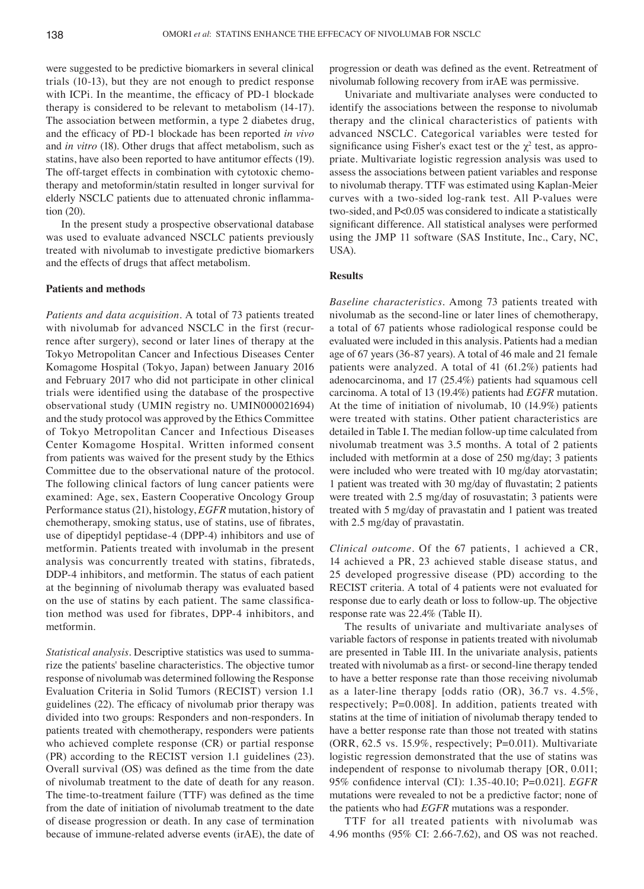were suggested to be predictive biomarkers in several clinical trials (10‑13), but they are not enough to predict response with ICPi. In the meantime, the efficacy of PD-1 blockade therapy is considered to be relevant to metabolism (14‑17). The association between metformin, a type 2 diabetes drug, and the efficacy of PD‑1 blockade has been reported *in vivo* and *in vitro* (18). Other drugs that affect metabolism, such as statins, have also been reported to have antitumor effects (19). The off-target effects in combination with cytotoxic chemotherapy and metoformin/statin resulted in longer survival for elderly NSCLC patients due to attenuated chronic inflammation (20).

In the present study a prospective observational database was used to evaluate advanced NSCLC patients previously treated with nivolumab to investigate predictive biomarkers and the effects of drugs that affect metabolism.

## **Patients and methods**

*Patients and data acquisition.* A total of 73 patients treated with nivolumab for advanced NSCLC in the first (recurrence after surgery), second or later lines of therapy at the Tokyo Metropolitan Cancer and Infectious Diseases Center Komagome Hospital (Tokyo, Japan) between January 2016 and February 2017 who did not participate in other clinical trials were identified using the database of the prospective observational study (UMIN registry no. UMIN000021694) and the study protocol was approved by the Ethics Committee of Tokyo Metropolitan Cancer and Infectious Diseases Center Komagome Hospital. Written informed consent from patients was waived for the present study by the Ethics Committee due to the observational nature of the protocol. The following clinical factors of lung cancer patients were examined: Age, sex, Eastern Cooperative Oncology Group Performance status(21), histology, *EGFR* mutation, history of chemotherapy, smoking status, use of statins, use of fibrates, use of dipeptidyl peptidase-4 (DPP-4) inhibitors and use of metformin. Patients treated with involumab in the present analysis was concurrently treated with statins, fibrateds, DDP‑4 inhibitors, and metformin. The status of each patient at the beginning of nivolumab therapy was evaluated based on the use of statins by each patient. The same classification method was used for fibrates, DPP-4 inhibitors, and metformin.

*Statistical analysis.* Descriptive statistics was used to summarize the patients' baseline characteristics. The objective tumor response of nivolumab was determined following the Response Evaluation Criteria in Solid Tumors (RECIST) version 1.1 guidelines (22). The efficacy of nivolumab prior therapy was divided into two groups: Responders and non‑responders. In patients treated with chemotherapy, responders were patients who achieved complete response (CR) or partial response (PR) according to the RECIST version 1.1 guidelines (23). Overall survival (OS) was defined as the time from the date of nivolumab treatment to the date of death for any reason. The time-to-treatment failure (TTF) was defined as the time from the date of initiation of nivolumab treatment to the date of disease progression or death. In any case of termination because of immune-related adverse events (irAE), the date of progression or death was defined as the event. Retreatment of nivolumab following recovery from irAE was permissive.

Univariate and multivariate analyses were conducted to identify the associations between the response to nivolumab therapy and the clinical characteristics of patients with advanced NSCLC. Categorical variables were tested for significance using Fisher's exact test or the  $\chi^2$  test, as appropriate. Multivariate logistic regression analysis was used to assess the associations between patient variables and response to nivolumab therapy. TTF was estimated using Kaplan‑Meier curves with a two-sided log-rank test. All P-values were two-sided, and P<0.05 was considered to indicate a statistically significant difference. All statistical analyses were performed using the JMP 11 software (SAS Institute, Inc., Cary, NC, USA).

# **Results**

*Baseline characteristics.* Among 73 patients treated with nivolumab as the second‑line or later lines of chemotherapy, a total of 67 patients whose radiological response could be evaluated were included in this analysis. Patients had a median age of 67 years (36‑87 years). A total of 46 male and 21 female patients were analyzed. A total of 41 (61.2%) patients had adenocarcinoma, and 17 (25.4%) patients had squamous cell carcinoma. A total of 13 (19.4%) patients had *EGFR* mutation. At the time of initiation of nivolumab, 10 (14.9%) patients were treated with statins. Other patient characteristics are detailed in Table I. The median follow‑up time calculated from nivolumab treatment was 3.5 months. A total of 2 patients included with metformin at a dose of 250 mg/day; 3 patients were included who were treated with 10 mg/day atorvastatin; 1 patient was treated with 30 mg/day of fluvastatin; 2 patients were treated with 2.5 mg/day of rosuvastatin; 3 patients were treated with 5 mg/day of pravastatin and 1 patient was treated with 2.5 mg/day of pravastatin.

*Clinical outcome.* Of the 67 patients, 1 achieved a CR, 14 achieved a PR, 23 achieved stable disease status, and 25 developed progressive disease (PD) according to the RECIST criteria. A total of 4 patients were not evaluated for response due to early death or loss to follow‑up. The objective response rate was 22.4% (Table II).

The results of univariate and multivariate analyses of variable factors of response in patients treated with nivolumab are presented in Table III. In the univariate analysis, patients treated with nivolumab as a first‑ or second‑line therapy tended to have a better response rate than those receiving nivolumab as a later-line therapy [odds ratio  $(OR)$ , 36.7 vs. 4.5%, respectively; P=0.008]. In addition, patients treated with statins at the time of initiation of nivolumab therapy tended to have a better response rate than those not treated with statins (ORR, 62.5 vs. 15.9%, respectively; P=0.011). Multivariate logistic regression demonstrated that the use of statins was independent of response to nivolumab therapy [OR, 0.011; 95% confidence interval (CI): 1.35‑40.10; P=0.021]. *EGFR* mutations were revealed to not be a predictive factor; none of the patients who had *EGFR* mutations was a responder.

TTF for all treated patients with nivolumab was 4.96 months (95% CI: 2.66‑7.62), and OS was not reached.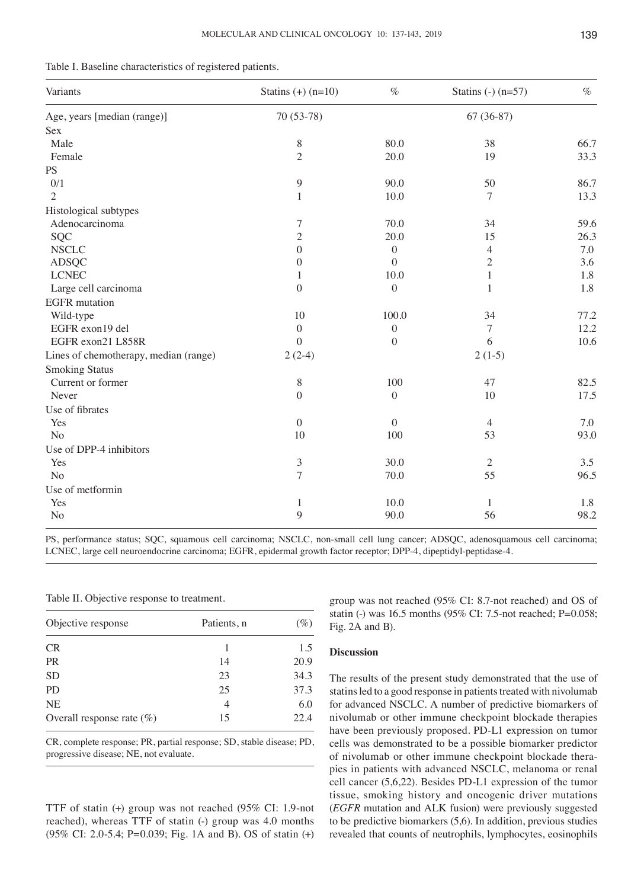|  |  |  |  |  |  | Table I. Baseline characteristics of registered patients. |  |  |  |  |  |  |
|--|--|--|--|--|--|-----------------------------------------------------------|--|--|--|--|--|--|
|--|--|--|--|--|--|-----------------------------------------------------------|--|--|--|--|--|--|

| Variants                              | Statins $(+)$ (n=10) | $\%$             | Statins $(-)$ (n=57) | $\%$ |  |
|---------------------------------------|----------------------|------------------|----------------------|------|--|
| Age, years [median (range)]           | 70 (53-78)           |                  | $67(36-87)$          |      |  |
| Sex                                   |                      |                  |                      |      |  |
| Male                                  | $8\,$                | 80.0             | 38                   | 66.7 |  |
| Female                                | $\overline{2}$       | 20.0             | 19                   | 33.3 |  |
| PS                                    |                      |                  |                      |      |  |
| 0/1                                   | 9                    | 90.0             | 50                   | 86.7 |  |
| $\overline{c}$                        | 1                    | 10.0             | 7                    | 13.3 |  |
| Histological subtypes                 |                      |                  |                      |      |  |
| Adenocarcinoma                        | $\tau$               | 70.0             | 34                   | 59.6 |  |
| SQC                                   | $\sqrt{2}$           | 20.0             | 15                   | 26.3 |  |
| <b>NSCLC</b>                          | $\overline{0}$       | $\boldsymbol{0}$ | $\overline{4}$       | 7.0  |  |
| <b>ADSQC</b>                          | $\Omega$             | $\theta$         | $\overline{2}$       | 3.6  |  |
| <b>LCNEC</b>                          | 1                    | 10.0             | $\mathbf{1}$         | 1.8  |  |
| Large cell carcinoma                  | $\boldsymbol{0}$     | $\boldsymbol{0}$ | 1                    | 1.8  |  |
| <b>EGFR</b> mutation                  |                      |                  |                      |      |  |
| Wild-type                             | 10                   | 100.0            | 34                   | 77.2 |  |
| EGFR exon19 del                       | $\boldsymbol{0}$     | $\boldsymbol{0}$ | $\tau$               | 12.2 |  |
| EGFR exon21 L858R                     | $\overline{0}$       | $\boldsymbol{0}$ | 6                    | 10.6 |  |
| Lines of chemotherapy, median (range) | $2(2-4)$             |                  | $2(1-5)$             |      |  |
| <b>Smoking Status</b>                 |                      |                  |                      |      |  |
| Current or former                     | $8\,$                | 100              | 47                   | 82.5 |  |
| Never                                 | $\overline{0}$       | $\overline{0}$   | 10                   | 17.5 |  |
| Use of fibrates                       |                      |                  |                      |      |  |
| Yes                                   | $\mathbf{0}$         | $\overline{0}$   | $\overline{4}$       | 7.0  |  |
| N <sub>o</sub>                        | 10                   | 100              | 53                   | 93.0 |  |
| Use of DPP-4 inhibitors               |                      |                  |                      |      |  |
| Yes                                   | $\mathfrak{Z}$       | 30.0             | 2                    | 3.5  |  |
| N <sub>o</sub>                        | $\overline{7}$       | 70.0             | 55                   | 96.5 |  |
| Use of metformin                      |                      |                  |                      |      |  |
| Yes                                   | $\mathbf{1}$         | 10.0             | 1                    | 1.8  |  |
| No                                    | 9                    | 90.0             | 56                   | 98.2 |  |

PS, performance status; SQC, squamous cell carcinoma; NSCLC, non-small cell lung cancer; ADSQC, adenosquamous cell carcinoma; LCNEC, large cell neuroendocrine carcinoma; EGFR, epidermal growth factor receptor; DPP-4, dipeptidyl-peptidase-4.

Table II. Objective response to treatment.

| Objective response           | Patients, n | $(\%)$ |  |
|------------------------------|-------------|--------|--|
| <b>CR</b>                    |             | 1.5    |  |
| <b>PR</b>                    | 14          | 20.9   |  |
| <b>SD</b>                    | 23          | 34.3   |  |
| PD.                          | 25          | 37.3   |  |
| <b>NE</b>                    | 4           | 6.0    |  |
| Overall response rate $(\%)$ | 15          | 22.4   |  |

CR, complete response; PR, partial response; SD, stable disease; PD, progressive disease; NE, not evaluate.

TTF of statin (+) group was not reached (95% CI: 1.9‑not reached), whereas TTF of statin (-) group was 4.0 months (95% CI: 2.0‑5.4; P=0.039; Fig. 1A and B). OS of statin (+) group was not reached (95% CI: 8.7‑not reached) and OS of statin (-) was 16.5 months (95% CI: 7.5-not reached; P=0.058; Fig. 2A and B).

# **Discussion**

The results of the present study demonstrated that the use of statins led to a good response in patients treated with nivolumab for advanced NSCLC. A number of predictive biomarkers of nivolumab or other immune checkpoint blockade therapies have been previously proposed. PD-L1 expression on tumor cells was demonstrated to be a possible biomarker predictor of nivolumab or other immune checkpoint blockade therapies in patients with advanced NSCLC, melanoma or renal cell cancer (5,6,22). Besides PD‑L1 expression of the tumor tissue, smoking history and oncogenic driver mutations (*EGFR* mutation and ALK fusion) were previously suggested to be predictive biomarkers (5,6). In addition, previous studies revealed that counts of neutrophils, lymphocytes, eosinophils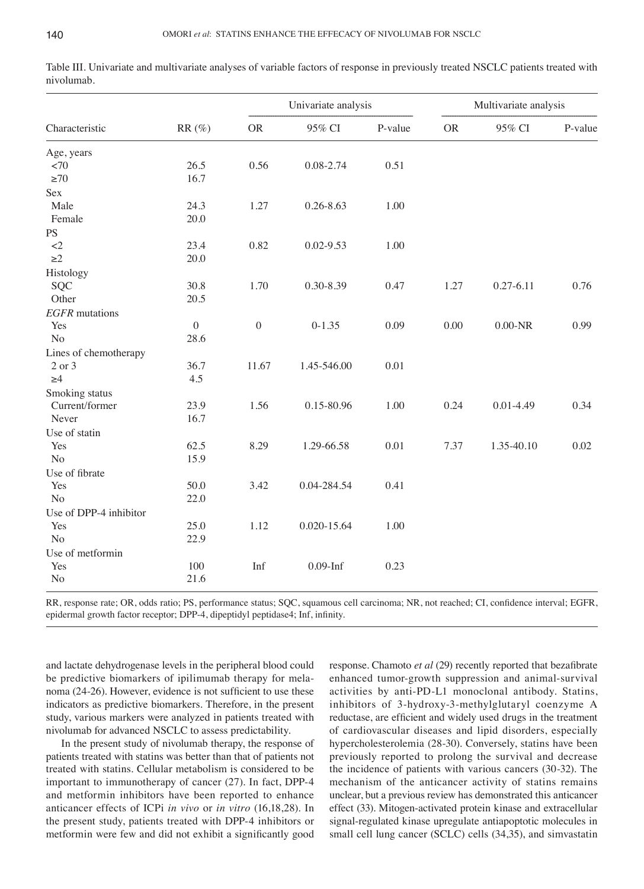| Characteristic<br>Age, years<br>${<}70$<br>${\geq}70$<br>Sex<br>Male<br>Female | $RR(\%)$<br>26.5<br>16.7<br>24.3<br>20.0 | ${\rm OR}$<br>0.56<br>1.27 | 95% CI<br>0.08-2.74 | P-value<br>0.51 | <b>OR</b> | 95% CI        | P-value |
|--------------------------------------------------------------------------------|------------------------------------------|----------------------------|---------------------|-----------------|-----------|---------------|---------|
|                                                                                |                                          |                            |                     |                 |           |               |         |
|                                                                                |                                          |                            |                     |                 |           |               |         |
|                                                                                |                                          |                            |                     |                 |           |               |         |
|                                                                                |                                          |                            |                     |                 |           |               |         |
|                                                                                |                                          |                            |                     |                 |           |               |         |
|                                                                                |                                          |                            | $0.26 - 8.63$       | 1.00            |           |               |         |
|                                                                                |                                          |                            |                     |                 |           |               |         |
| PS                                                                             |                                          |                            |                     |                 |           |               |         |
| $<$ $\!2$                                                                      | 23.4                                     | 0.82                       | $0.02 - 9.53$       | 1.00            |           |               |         |
| $\geq$ 2                                                                       | 20.0                                     |                            |                     |                 |           |               |         |
| Histology                                                                      |                                          |                            |                     |                 |           |               |         |
| SQC                                                                            | 30.8                                     | 1.70                       | 0.30-8.39           | 0.47            | 1.27      | $0.27 - 6.11$ | 0.76    |
| Other                                                                          | 20.5                                     |                            |                     |                 |           |               |         |
| <b>EGFR</b> mutations                                                          |                                          |                            |                     |                 |           |               |         |
| Yes                                                                            | $\boldsymbol{0}$                         | $\boldsymbol{0}$           | $0-1.35$            | 0.09            | 0.00      | $0.00-NR$     | 0.99    |
| N <sub>o</sub>                                                                 | 28.6                                     |                            |                     |                 |           |               |         |
| Lines of chemotherapy                                                          |                                          |                            |                     |                 |           |               |         |
| 2 or 3                                                                         | 36.7                                     | 11.67                      | 1.45-546.00         | 0.01            |           |               |         |
| $\geq 4$                                                                       | 4.5                                      |                            |                     |                 |           |               |         |
| Smoking status                                                                 |                                          |                            |                     |                 |           |               |         |
| Current/former                                                                 | 23.9                                     | 1.56                       | 0.15-80.96          | 1.00            | 0.24      | $0.01 - 4.49$ | 0.34    |
| Never                                                                          | 16.7                                     |                            |                     |                 |           |               |         |
| Use of statin                                                                  |                                          |                            |                     |                 |           |               |         |
| Yes                                                                            | 62.5                                     | 8.29                       | 1.29-66.58          | 0.01            | 7.37      | 1.35-40.10    | 0.02    |
| N <sub>o</sub>                                                                 | 15.9                                     |                            |                     |                 |           |               |         |
| Use of fibrate                                                                 |                                          |                            |                     |                 |           |               |         |
| Yes                                                                            | 50.0                                     | 3.42                       | 0.04-284.54         | 0.41            |           |               |         |
| N <sub>o</sub>                                                                 | 22.0                                     |                            |                     |                 |           |               |         |
| Use of DPP-4 inhibitor                                                         |                                          |                            |                     |                 |           |               |         |
| Yes                                                                            | 25.0                                     | 1.12                       | 0.020-15.64         | 1.00            |           |               |         |
| N <sub>o</sub>                                                                 | 22.9                                     |                            |                     |                 |           |               |         |
| Use of metformin                                                               |                                          |                            |                     |                 |           |               |         |
| Yes                                                                            | 100                                      | Inf                        | $0.09$ -Inf         | 0.23            |           |               |         |
| No                                                                             | 21.6                                     |                            |                     |                 |           |               |         |

Table III. Univariate and multivariate analyses of variable factors of response in previously treated NSCLC patients treated with nivolumab.

RR, response rate; OR, odds ratio; PS, performance status; SQC, squamous cell carcinoma; NR, not reached; CI, confidence interval; EGFR, epidermal growth factor receptor; DPP-4, dipeptidyl peptidase4; Inf, infinity.

and lactate dehydrogenase levels in the peripheral blood could be predictive biomarkers of ipilimumab therapy for melanoma (24‑26). However, evidence is not sufficient to use these indicators as predictive biomarkers. Therefore, in the present study, various markers were analyzed in patients treated with nivolumab for advanced NSCLC to assess predictability.

In the present study of nivolumab therapy, the response of patients treated with statins was better than that of patients not treated with statins. Cellular metabolism is considered to be important to immunotherapy of cancer (27). In fact, DPP-4 and metformin inhibitors have been reported to enhance anticancer effects of ICPi *in vivo* or *in vitro* (16,18,28). In the present study, patients treated with DPP‑4 inhibitors or metformin were few and did not exhibit a significantly good response. Chamoto *et al* (29) recently reported that bezafibrate enhanced tumor-growth suppression and animal-survival activities by anti‑PD‑L1 monoclonal antibody. Statins, inhibitors of 3‑hydroxy‑3‑methylglutaryl coenzyme A reductase, are efficient and widely used drugs in the treatment of cardiovascular diseases and lipid disorders, especially hypercholesterolemia (28‑30). Conversely, statins have been previously reported to prolong the survival and decrease the incidence of patients with various cancers (30‑32). The mechanism of the anticancer activity of statins remains unclear, but a previous review has demonstrated this anticancer effect (33). Mitogen‑activated protein kinase and extracellular signal-regulated kinase upregulate antiapoptotic molecules in small cell lung cancer (SCLC) cells (34,35), and simvastatin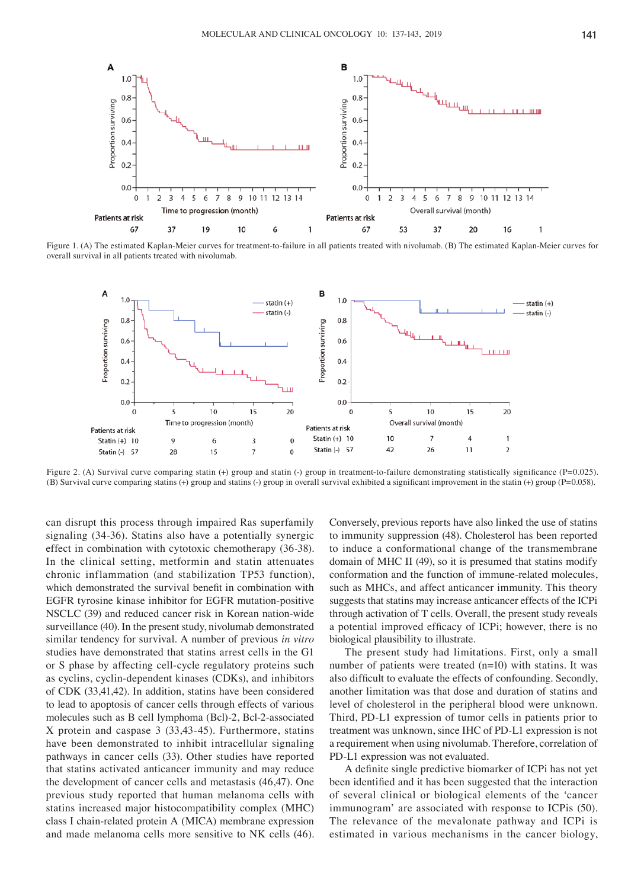

Figure 1. (A) The estimated Kaplan–Meier curves for treatment-to-failure in all patients treated with nivolumab. (B) The estimated Kaplan–Meier curves for overall survival in all patients treated with nivolumab.



Figure 2. (A) Survival curve comparing statin (+) group and statin (-) group in treatment-to-failure demonstrating statistically significance (P=0.025). (B) Survival curve comparing statins (+) group and statins (-) group in overall survival exhibited a significant improvement in the statin (+) group (P=0.058).

can disrupt this process through impaired Ras superfamily signaling (34‑36). Statins also have a potentially synergic effect in combination with cytotoxic chemotherapy (36‑38). In the clinical setting, metformin and statin attenuates chronic inflammation (and stabilization TP53 function), which demonstrated the survival benefit in combination with EGFR tyrosine kinase inhibitor for EGFR mutation‑positive NSCLC (39) and reduced cancer risk in Korean nation‑wide surveillance (40). In the present study, nivolumab demonstrated similar tendency for survival. A number of previous *in vitro* studies have demonstrated that statins arrest cells in the G1 or S phase by affecting cell-cycle regulatory proteins such as cyclins, cyclin‑dependent kinases (CDKs), and inhibitors of CDK (33,41,42). In addition, statins have been considered to lead to apoptosis of cancer cells through effects of various molecules such as B cell lymphoma (Bcl)‑2, Bcl‑2‑associated X protein and caspase 3 (33,43‑45). Furthermore, statins have been demonstrated to inhibit intracellular signaling pathways in cancer cells (33). Other studies have reported that statins activated anticancer immunity and may reduce the development of cancer cells and metastasis (46,47). One previous study reported that human melanoma cells with statins increased major histocompatibility complex (MHC) class I chain‑related protein A (MICA) membrane expression and made melanoma cells more sensitive to NK cells (46). Conversely, previous reports have also linked the use of statins to immunity suppression (48). Cholesterol has been reported to induce a conformational change of the transmembrane domain of MHC II (49), so it is presumed that statins modify conformation and the function of immune-related molecules, such as MHCs, and affect anticancer immunity. This theory suggests that statins may increase anticancer effects of the ICPi through activation of T cells. Overall, the present study reveals a potential improved efficacy of ICPi; however, there is no biological plausibility to illustrate.

The present study had limitations. First, only a small number of patients were treated (n=10) with statins. It was also difficult to evaluate the effects of confounding. Secondly, another limitation was that dose and duration of statins and level of cholesterol in the peripheral blood were unknown. Third, PD-L1 expression of tumor cells in patients prior to treatment was unknown, since IHC of PD‑L1 expression is not a requirement when using nivolumab. Therefore, correlation of PD-L1 expression was not evaluated.

A definite single predictive biomarker of ICPi has not yet been identified and it has been suggested that the interaction of several clinical or biological elements of the 'cancer immunogram' are associated with response to ICPis (50). The relevance of the mevalonate pathway and ICPi is estimated in various mechanisms in the cancer biology,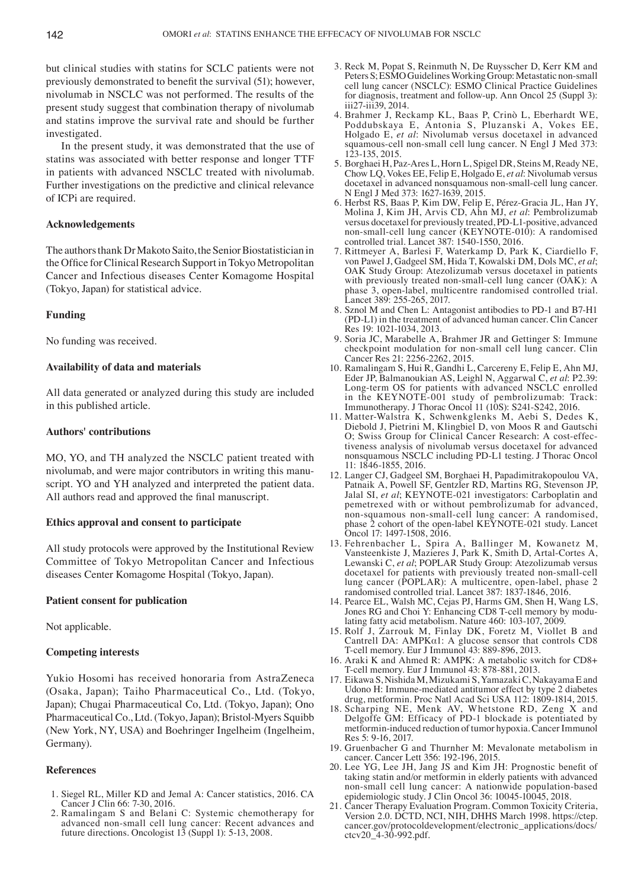but clinical studies with statins for SCLC patients were not previously demonstrated to benefit the survival (51); however, nivolumab in NSCLC was not performed. The results of the present study suggest that combination therapy of nivolumab and statins improve the survival rate and should be further investigated.

In the present study, it was demonstrated that the use of statins was associated with better response and longer TTF in patients with advanced NSCLC treated with nivolumab. Further investigations on the predictive and clinical relevance of ICPi are required.

#### **Acknowledgements**

The authors thank Dr Makoto Saito, the Senior Biostatistician in the Office for Clinical Research Support in Tokyo Metropolitan Cancer and Infectious diseases Center Komagome Hospital (Tokyo, Japan) for statistical advice.

## **Funding**

No funding was received.

# **Availability of data and materials**

All data generated or analyzed during this study are included in this published article.

## **Authors' contributions**

MO, YO, and TH analyzed the NSCLC patient treated with nivolumab, and were major contributors in writing this manuscript. YO and YH analyzed and interpreted the patient data. All authors read and approved the final manuscript.

## **Ethics approval and consent to participate**

All study protocols were approved by the Institutional Review Committee of Tokyo Metropolitan Cancer and Infectious diseases Center Komagome Hospital (Tokyo, Japan).

### **Patient consent for publication**

Not applicable.

# **Competing interests**

Yukio Hosomi has received honoraria from AstraZeneca (Osaka, Japan); Taiho Pharmaceutical Co., Ltd. (Tokyo, Japan); Chugai Pharmaceutical Co, Ltd. (Tokyo, Japan); Ono Pharmaceutical Co., Ltd. (Tokyo, Japan); Bristol‑Myers Squibb (New York, NY, USA) and Boehringer Ingelheim (Ingelheim, Germany).

#### **References**

- 1. Siegel RL, Miller KD and Jemal A: Cancer statistics, 2016. CA Cancer J Clin 66: 7‑30, 2016.
- 2. Ramalingam S and Belani C: Systemic chemotherapy for advanced non-small cell lung cancer: Recent advances and future directions. Oncologist 13 (Suppl 1): 5‑13, 2008.
- 3. Reck M, Popat S, Reinmuth N, De Ruysscher D, Kerr KM and Peters S; ESMO Guidelines Working Group: Metastatic non-small cell lung cancer (NSCLC): ESMO Clinical Practice Guidelines for diagnosis, treatment and follow‑up. Ann Oncol 25 (Suppl 3): iii27‑iii39, 2014.
- 4. Brahmer J, Reckamp KL, Baas P, Crinò L, Eberhardt WE, Poddubskaya E, Antonia S, Pluzanski A, Vokes EE, Holgado E, *et al*: Nivolumab versus docetaxel in advanced squamous-cell non-small cell lung cancer. N Engl J Med 373: 123‑135, 2015.
- 5. Borghaei H, Paz‑Ares L, Horn L, Spigel DR, Steins M, Ready NE, Chow LQ, Vokes EE, Felip E, Holgado E, *et al*: Nivolumab versus docetaxel in advanced nonsquamous non‑small‑cell lung cancer. N Engl J Med 373: 1627‑1639, 2015.
- 6. Herbst RS, Baas P, Kim DW, Felip E, Pérez‑Gracia JL, Han JY, Molina J, Kim JH, Arvis CD, Ahn MJ, *et al*: Pembrolizumab versus docetaxel for previously treated, PD‑L1‑positive, advanced non-small-cell lung cancer (KEYNOTE-010): A randomised controlled trial. Lancet 387: 1540‑1550, 2016.
- 7. Rittmeyer A, Barlesi F, Waterkamp D, Park K, Ciardiello F, von Pawel J, Gadgeel SM, Hida T, Kowalski DM, Dols MC, *et al*; OAK Study Group: Atezolizumab versus docetaxel in patients with previously treated non-small-cell lung cancer (OAK): A phase 3, open‑label, multicentre randomised controlled trial. Lancet 389: 255‑265, 2017.
- 8. Sznol M and Chen L: Antagonist antibodies to PD‑1 and B7‑H1 (PD‑L1) in the treatment of advanced human cancer. Clin Cancer Res 19: 1021‑1034, 2013.
- 9. Soria JC, Marabelle A, Brahmer JR and Gettinger S: Immune checkpoint modulation for non‑small cell lung cancer. Clin Cancer Res 21: 2256‑2262, 2015.
- 10. Ramalingam S, Hui R, Gandhi L, Carcereny E, Felip E, Ahn MJ, Eder JP, Balmanoukian AS, Leighl N, Aggarwal C, *et al*: P2.39: Long-term OS for patients with advanced NSCLC enrolled in the KEYNOTE‑001 study of pembrolizumab: Track: Immunotherapy. J Thorac Oncol 11 (10S): S241‑S242, 2016.
- 11. Matter‑Walstra K, Schwenkglenks M, Aebi S, Dedes K, Diebold J, Pietrini M, Klingbiel D, von Moos R and Gautschi O; Swiss Group for Clinical Cancer Research: A cost-effectiveness analysis of nivolumab versus docetaxel for advanced nonsquamous NSCLC including PD‑L1 testing. J Thorac Oncol 11: 1846‑1855, 2016.
- 12. Langer CJ, Gadgeel SM, Borghaei H, Papadimitrakopoulou VA, Patnaik A, Powell SF, Gentzler RD, Martins RG, Stevenson JP, Jalal SI, *et al*; KEYNOTE‑021 investigators: Carboplatin and pemetrexed with or without pembrolizumab for advanced, non-squamous non-small-cell lung cancer: A randomised, phase 2 cohort of the open-label KEYNOTE-021 study. Lancet Oncol 17: 1497‑1508, 2016.
- 13. Fehrenbacher L, Spira A, Ballinger M, Kowanetz M, Vansteenkiste J, Mazieres J, Park K, Smith D, Artal‑Cortes A, Lewanski C, *et al*; POPLAR Study Group: Atezolizumab versus docetaxel for patients with previously treated non-small-cell lung cancer (POPLAR): A multicentre, open-label, phase 2 randomised controlled trial. Lancet 387: 1837‑1846, 2016.
- 14. Pearce EL, Walsh MC, Cejas PJ, Harms GM, Shen H, Wang LS, Jones RG and Choi Y: Enhancing CD8 T‑cell memory by modulating fatty acid metabolism. Nature 460: 103‑107, 2009.
- 15. Rolf J, Zarrouk M, Finlay DK, Foretz M, Viollet B and Cantrell DA: AMPKα1: A glucose sensor that controls CD8 T‑cell memory. Eur J Immunol 43: 889‑896, 2013.
- 16. Araki K and Ahmed R: AMPK: A metabolic switch for CD8+ T‑cell memory. Eur J Immunol 43: 878‑881, 2013.
- 17. Eikawa S, Nishida M, Mizukami S, Yamazaki C, Nakayama E and Udono H: Immune‑mediated antitumor effect by type 2 diabetes drug, metformin. Proc Natl Acad Sci USA 112: 1809‑1814, 2015.
- 18. Scharping NE, Menk AV, Whetstone RD, Zeng X and Delgoffe GM: Efficacy of PD‑1 blockade is potentiated by metformin‑induced reduction of tumor hypoxia. Cancer Immunol Res 5: 9‑16, 2017.
- 19. Gruenbacher G and Thurnher M: Mevalonate metabolism in cancer. Cancer Lett 356: 192‑196, 2015.
- 20. Lee YG, Lee JH, Jang JS and Kim JH: Prognostic benefit of taking statin and/or metformin in elderly patients with advanced non-small cell lung cancer: A nationwide population-based epidemiologic study. J Clin Oncol 36: 10045‑10045, 2018.
- 21. Cancer Therapy Evaluation Program. Common Toxicity Criteria, Version 2.0. DCTD, NCI, NIH, DHHS March 1998. https://ctep. cancer.gov/protocoldevelopment/electronic\_applications/docs/ ctcv20\_4-30-992.pdf.